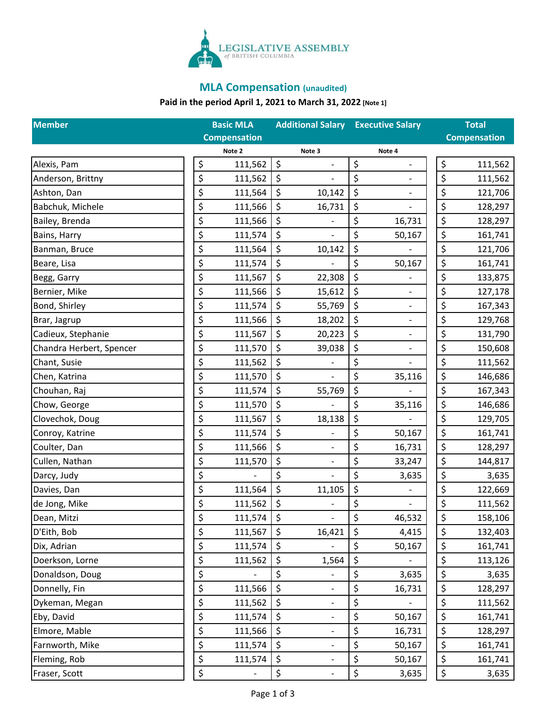

# **MLA Compensation (unaudited)**

# **Paid in the period April 1, 2021 to March 31, 2022 [Note 1]**

| <b>Member</b>            | <b>Basic MLA</b>    |         |                              | <b>Additional Salary Executive Salary</b> |        | <b>Total</b> |         |
|--------------------------|---------------------|---------|------------------------------|-------------------------------------------|--------|--------------|---------|
|                          | <b>Compensation</b> |         |                              | <b>Compensation</b>                       |        |              |         |
|                          | Note 2              |         | Note 3                       |                                           | Note 4 |              |         |
| Alexis, Pam              | \$<br>111,562       | \$      |                              | \$                                        |        | \$           | 111,562 |
| Anderson, Brittny        | \$<br>111,562       | \$      |                              | \$                                        |        | \$           | 111,562 |
| Ashton, Dan              | \$<br>111,564       | \$      | 10,142                       | \$                                        |        | \$           | 121,706 |
| Babchuk, Michele         | \$<br>111,566       | \$      | 16,731                       | \$                                        |        | \$           | 128,297 |
| Bailey, Brenda           | \$<br>111,566       | \$      |                              | \$                                        | 16,731 | \$           | 128,297 |
| Bains, Harry             | \$<br>111,574       | \$      |                              | \$                                        | 50,167 | \$           | 161,741 |
| Banman, Bruce            | \$<br>111,564       | \$      | 10,142                       | \$                                        |        | \$           | 121,706 |
| Beare, Lisa              | \$<br>111,574       | \$      |                              | \$                                        | 50,167 | \$           | 161,741 |
| Begg, Garry              | \$<br>111,567       | \$      | 22,308                       | \$                                        |        | \$           | 133,875 |
| Bernier, Mike            | \$<br>111,566       | \$      | 15,612                       | \$                                        |        | \$           | 127,178 |
| Bond, Shirley            | \$<br>111,574       | \$      | 55,769                       | \$                                        |        | \$           | 167,343 |
| Brar, Jagrup             | \$<br>111,566       | \$      | 18,202                       | \$                                        |        | \$           | 129,768 |
| Cadieux, Stephanie       | \$<br>111,567       | \$      | 20,223                       | \$                                        |        | \$           | 131,790 |
| Chandra Herbert, Spencer | \$<br>111,570       | \$      | 39,038                       | \$                                        | -      | \$           | 150,608 |
| Chant, Susie             | \$<br>111,562       | \$      |                              | \$                                        |        | \$           | 111,562 |
| Chen, Katrina            | \$<br>111,570       | \$      | $\qquad \qquad \blacksquare$ | \$                                        | 35,116 | \$           | 146,686 |
| Chouhan, Raj             | \$<br>111,574       | \$      | 55,769                       | \$                                        |        | \$           | 167,343 |
| Chow, George             | \$<br>111,570       | \$      |                              | \$                                        | 35,116 | \$           | 146,686 |
| Clovechok, Doug          | \$<br>111,567       | \$      | 18,138                       | \$                                        |        | \$           | 129,705 |
| Conroy, Katrine          | \$<br>111,574       | \$      |                              | \$                                        | 50,167 | \$           | 161,741 |
| Coulter, Dan             | \$<br>111,566       | \$      | $\frac{1}{2}$                | \$                                        | 16,731 | \$           | 128,297 |
| Cullen, Nathan           | \$<br>111,570       | \$      | $\overline{\phantom{a}}$     | \$                                        | 33,247 | \$           | 144,817 |
| Darcy, Judy              | \$                  | \$      |                              | \$                                        | 3,635  | \$           | 3,635   |
| Davies, Dan              | \$<br>111,564       | \$      | 11,105                       | \$                                        |        | \$           | 122,669 |
| de Jong, Mike            | \$<br>111,562       | \$      | $\qquad \qquad \blacksquare$ | \$                                        |        | \$           | 111,562 |
| Dean, Mitzi              | \$<br>111,574       | \$      |                              | \$                                        | 46,532 | \$           | 158,106 |
| D'Eith, Bob              | \$<br>111,567       | \$      | 16,421                       | \$                                        | 4,415  | \$           | 132,403 |
| Dix, Adrian              | \$<br>111,574       | $\zeta$ |                              | \$                                        | 50,167 | \$           | 161,741 |
| Doerkson, Lorne          | \$<br>111,562       | \$      | 1,564                        | \$                                        |        | \$           | 113,126 |
| Donaldson, Doug          | \$                  | \$      | $\qquad \qquad -$            | \$                                        | 3,635  | \$           | 3,635   |
| Donnelly, Fin            | \$<br>111,566       | \$      | $\overline{\phantom{a}}$     | \$                                        | 16,731 | \$           | 128,297 |
| Dykeman, Megan           | \$<br>111,562       | \$      | $\overline{\phantom{a}}$     | \$                                        |        | \$           | 111,562 |
| Eby, David               | \$<br>111,574       | \$      | $\overline{\phantom{a}}$     | \$                                        | 50,167 | \$           | 161,741 |
| Elmore, Mable            | \$<br>111,566       | \$      | $\overline{\phantom{a}}$     | \$                                        | 16,731 | \$           | 128,297 |
| Farnworth, Mike          | \$<br>111,574       | \$      | $\overline{\phantom{a}}$     | \$                                        | 50,167 | \$           | 161,741 |
| Fleming, Rob             | \$<br>111,574       | \$      | $\overline{\phantom{a}}$     | \$                                        | 50,167 | \$           | 161,741 |
| Fraser, Scott            | \$                  | \$      |                              | \$                                        | 3,635  | \$           | 3,635   |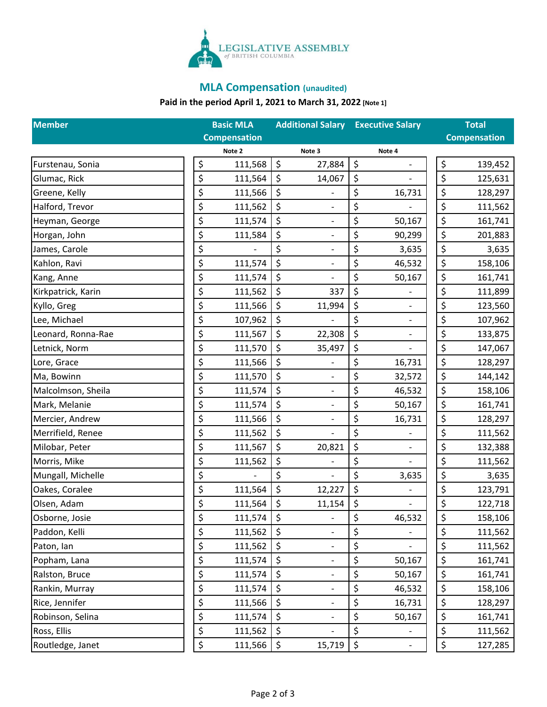

# **MLA Compensation (unaudited)**

# **Paid in the period April 1, 2021 to March 31, 2022 [Note 1]**

| <b>Member</b>      | <b>Basic MLA</b>    |    | <b>Additional Salary Executive Salary</b> |    |        | <b>Total</b> |                     |  |
|--------------------|---------------------|----|-------------------------------------------|----|--------|--------------|---------------------|--|
|                    | <b>Compensation</b> |    |                                           |    |        |              | <b>Compensation</b> |  |
|                    | Note 2              |    | Note 3                                    |    | Note 4 |              |                     |  |
| Furstenau, Sonia   | \$<br>111,568       | \$ | 27,884                                    | \$ |        | \$           | 139,452             |  |
| Glumac, Rick       | \$<br>111,564       | \$ | 14,067                                    | \$ |        | \$           | 125,631             |  |
| Greene, Kelly      | \$<br>111,566       | \$ | $\qquad \qquad \blacksquare$              | \$ | 16,731 | \$           | 128,297             |  |
| Halford, Trevor    | \$<br>111,562       | \$ | $\overline{\phantom{a}}$                  | \$ |        | \$           | 111,562             |  |
| Heyman, George     | \$<br>111,574       | \$ | $\overline{\phantom{a}}$                  | \$ | 50,167 | \$           | 161,741             |  |
| Horgan, John       | \$<br>111,584       | \$ | $\overline{\phantom{a}}$                  | \$ | 90,299 | \$           | 201,883             |  |
| James, Carole      | \$                  | \$ | $\overline{\phantom{a}}$                  | \$ | 3,635  | \$           | 3,635               |  |
| Kahlon, Ravi       | \$<br>111,574       | \$ | $\overline{\phantom{a}}$                  | \$ | 46,532 | \$           | 158,106             |  |
| Kang, Anne         | \$<br>111,574       | \$ |                                           | \$ | 50,167 | \$           | 161,741             |  |
| Kirkpatrick, Karin | \$<br>111,562       | \$ | 337                                       | \$ |        | \$           | 111,899             |  |
| Kyllo, Greg        | \$<br>111,566       | \$ | 11,994                                    | \$ |        | \$           | 123,560             |  |
| Lee, Michael       | \$<br>107,962       | \$ |                                           | \$ |        | \$           | 107,962             |  |
| Leonard, Ronna-Rae | \$<br>111,567       | \$ | 22,308                                    | \$ |        | \$           | 133,875             |  |
| Letnick, Norm      | \$<br>111,570       | \$ | 35,497                                    | \$ |        | \$           | 147,067             |  |
| Lore, Grace        | \$<br>111,566       | \$ |                                           | \$ | 16,731 | \$           | 128,297             |  |
| Ma, Bowinn         | \$<br>111,570       | \$ | $\overline{\phantom{a}}$                  | \$ | 32,572 | \$           | 144,142             |  |
| Malcolmson, Sheila | \$<br>111,574       | \$ |                                           | \$ | 46,532 | \$           | 158,106             |  |
| Mark, Melanie      | \$<br>111,574       | \$ | $\overline{\phantom{a}}$                  | \$ | 50,167 | \$           | 161,741             |  |
| Mercier, Andrew    | \$<br>111,566       | \$ | $\overline{\phantom{a}}$                  | \$ | 16,731 | \$           | 128,297             |  |
| Merrifield, Renee  | \$<br>111,562       | \$ |                                           | \$ |        | \$           | 111,562             |  |
| Milobar, Peter     | \$<br>111,567       | \$ | 20,821                                    | \$ |        | \$           | 132,388             |  |
| Morris, Mike       | \$<br>111,562       | \$ | $\overline{\phantom{a}}$                  | \$ |        | \$           | 111,562             |  |
| Mungall, Michelle  | \$                  | \$ |                                           | \$ | 3,635  | \$           | 3,635               |  |
| Oakes, Coralee     | \$<br>111,564       | \$ | 12,227                                    | \$ |        | \$           | 123,791             |  |
| Olsen, Adam        | \$<br>111,564       | \$ | 11,154                                    | \$ |        | \$           | 122,718             |  |
| Osborne, Josie     | \$<br>111,574       | \$ |                                           | \$ | 46,532 | \$           | 158,106             |  |
| Paddon, Kelli      | \$<br>111,562       | \$ | $\overline{\phantom{a}}$                  | \$ |        | \$           | 111,562             |  |
| Paton, Ian         | \$<br>111,562       | \$ | $\overline{\phantom{a}}$                  | \$ |        | \$           | 111,562             |  |
| Popham, Lana       | \$<br>111,574       | \$ | $\overline{\phantom{a}}$                  | \$ | 50,167 | \$           | 161,741             |  |
| Ralston, Bruce     | \$<br>111,574       | \$ | $\overline{\phantom{a}}$                  | \$ | 50,167 | \$           | 161,741             |  |
| Rankin, Murray     | \$<br>111,574       | \$ | $\overline{\phantom{a}}$                  | \$ | 46,532 | \$           | 158,106             |  |
| Rice, Jennifer     | \$<br>111,566       | \$ | $\overline{\phantom{a}}$                  | \$ | 16,731 | \$           | 128,297             |  |
| Robinson, Selina   | \$<br>111,574       | \$ | $\overline{\phantom{a}}$                  | \$ | 50,167 | \$           | 161,741             |  |
| Ross, Ellis        | \$<br>111,562       | \$ |                                           | \$ |        | \$           | 111,562             |  |
| Routledge, Janet   | \$<br>111,566       | \$ | 15,719                                    | \$ |        | \$           | 127,285             |  |